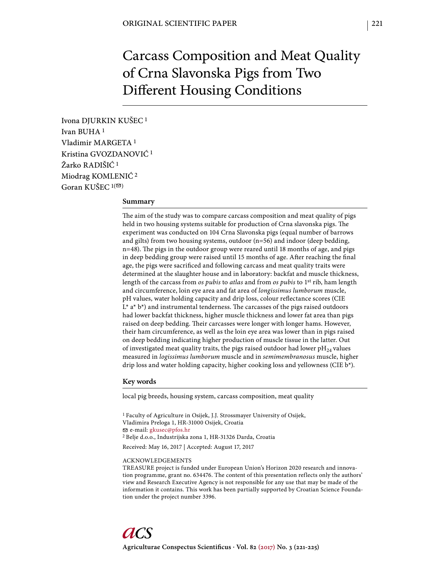# Carcass Composition and Meat Quality of Crna Slavonska Pigs from Two Different Housing Conditions

Ivona DJURKIN KUŠEC 1 Ivan BUHA 1 Vladimir MARGETA 1 Kristina GVOZDANOVIĆ 1 Žarko RADIŠIĆ 1 Miodrag KOMLENIĆ 2 Goran KUŠEC  $1(\infty)$ 

## **Summary**

The aim of the study was to compare carcass composition and meat quality of pigs held in two housing systems suitable for production of Crna slavonska pigs. The experiment was conducted on 104 Crna Slavonska pigs (equal number of barrows and gilts) from two housing systems, outdoor (n=56) and indoor (deep bedding, n=48). The pigs in the outdoor group were reared until 18 months of age, and pigs in deep bedding group were raised until 15 months of age. After reaching the final age, the pigs were sacrificed and following carcass and meat quality traits were determined at the slaughter house and in laboratory: backfat and muscle thickness, length of the carcass from *os pubis* to *atlas* and from *os pubis* to 1st rib, ham length and circumference, loin eye area and fat area of *longissimus lumborum* muscle, pH values, water holding capacity and drip loss, colour reflectance scores (CIE  $L^*$  a\*  $b^*$ ) and instrumental tenderness. The carcasses of the pigs raised outdoors had lower backfat thickness, higher muscle thickness and lower fat area than pigs raised on deep bedding. Their carcasses were longer with longer hams. However, their ham circumference, as well as the loin eye area was lower than in pigs raised on deep bedding indicating higher production of muscle tissue in the latter. Out of investigated meat quality traits, the pigs raised outdoor had lower  $pH_{24}$  values measured in *logissimus lumborum* muscle and in *semimembranosus* muscle, higher drip loss and water holding capacity, higher cooking loss and yellowness (CIE b\*).

#### **Key words**

local pig breeds, housing system, carcass composition, meat quality

1 Faculty of Agriculture in Osijek, J.J. Strossmayer University of Osijek, Vladimira Preloga 1, HR-31000 Osijek, Croatia e-mail: gkusec@pfos.hr 2 Belje d.o.o., Industrijska zona 1, HR-31326 Darda, Croatia

Received: May 16, 2017 | Accepted: August 17, 2017

### ACKNOWLEDGEMENTS

TREASURE project is funded under European Union's Horizon 2020 research and innovation programme, grant no. 634476. The content of this presentation reflects only the authors' view and Research Executive Agency is not responsible for any use that may be made of the information it contains. This work has been partially supported by Croatian Science Foundation under the project number 3396.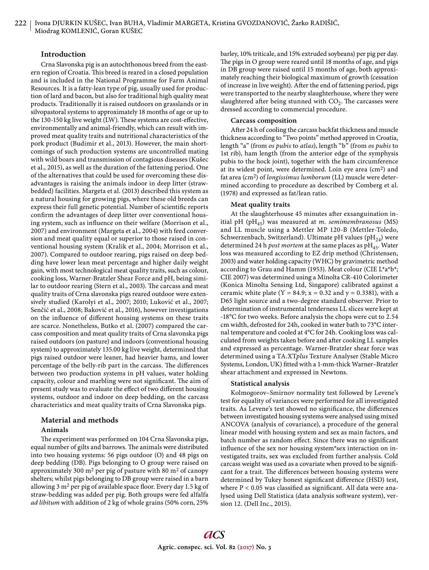# **Introduction**

Crna Slavonska pig is an autochthonous breed from the eastern region of Croatia. This breed is reared in a closed population and is included in the National Programme for Farm Animal Resources. It is a fatty-lean type of pig, usually used for production of lard and bacon, but also for traditional high quality meat products. Traditionally it is raised outdoors on grasslands or in silvopastoral systems to approximately 18 months of age or up to the 130-150 kg live weight (LW). These systems are cost-effective, environmentally and animal-friendly, which can result with improved meat quality traits and nutritional characteristics of the pork product (Budimir et al., 2013). However, the main shortcomings of such production systems are uncontrolled mating with wild boars and transmission of contagious diseases (Kušec et al., 2015), as well as the duration of the fattening period. One of the alternatives that could be used for overcoming these disadvantages is raising the animals indoor in deep litter (strawbedded) facilities. Margeta et al. (2013) described this system as a natural housing for growing pigs, where these old breeds can express their full genetic potential. Number of scientific reports confirm the advantages of deep litter over conventional housing system, such as influence on their welfare (Morrison et al., 2007) and environment (Margeta et al., 2004) with feed conversion and meat quality equal or superior to those raised in conventional housing system (Kralik et al., 2004; Morrison et al., 2007). Compared to outdoor rearing, pigs raised on deep bedding have lower lean meat percentage and higher daily weight gain, with most technological meat quality traits, such as colour, cooking loss, Warner-Bratzler Shear Force and pH, being similar to outdoor rearing (Stern et al., 2003). The carcass and meat quality traits of Crna slavonska pigs reared outdoor were extensively studied (Karolyi et al., 2007; 2010; Luković et al., 2007; Senčić et al., 2008; Baković et al., 2016), however investigations on the influence of different housing systems on these traits are scarce. Nonetheless, Butko et al. (2007) compared the carcass composition and meat quality traits of Crna slavonska pigs raised outdoors (on pasture) and indoors (conventional housing system) to approximately 135.00 kg live weight, determined that pigs raised outdoor were leaner, had heavier hams, and lower percentage of the belly-rib part in the carcass. The differences between two production systems in pH values, water holding capacity, colour and marbling were not significant. The aim of present study was to evaluate the effect of two different housing systems, outdoor and indoor on deep bedding, on the carcass characteristics and meat quality traits of Crna Slavonska pigs.

# **Material and methods**

## **Animals**

The experiment was performed on 104 Crna Slavonska pigs, equal number of gilts and barrows. The animals were distributed into two housing systems: 56 pigs outdoor (O) and 48 pigs on deep bedding (DB). Pigs belonging to O group were raised on approximately 300  $m^2$  per pig of pasture with 80  $m^2$  of canopy shelters; whilst pigs belonging to DB group were raised in a barn allowing 3 m<sup>2</sup> per pig of available space floor. Every day 1.5 kg of straw-bedding was added per pig. Both groups were fed alfalfa *ad libitum* with addition of 2 kg of whole grains (50% corn, 25%

barley, 10% triticale, and 15% extruded soybeans) per pig per day. The pigs in O group were reared until 18 months of age, and pigs in DB group were raised until 15 months of age, both approximately reaching their biological maximum of growth (cessation of increase in live weight). After the end of fattening period, pigs were transported to the nearby slaughterhouse, where they were slaughtered after being stunned with  $CO<sub>2</sub>$ . The carcasses were dressed according to commercial procedure.

#### **Carcass composition**

After 24 h of cooling the carcass backfat thickness and muscle thickness according to "Two points" method approved in Croatia, length "a" (from *os pubis* to *atlas*), length "b" (from *os pubis* to 1st rib), ham length (from the anterior edge of the symphysis pubis to the hock joint), together with the ham circumference at its widest point, were determined. Loin eye area (cm2) and fat area (cm2) of *longissimus lumborum* (LL) muscle were determined according to procedure as described by Comberg et al. (1978) and expressed as fat/lean ratio.

# **Meat quality traits**

At the slaughterhouse 45 minutes after exsanguination initial pH (pH45) was measured at *m. semimembranosus* (MS) and LL muscle using a Mettler MP 120-B (Mettler-Toledo, Schwerzenbach, Switzerland). Ultimate pH values (p $H_{24}$ ) were determined 24 h *post mortem* at the same places as pH<sub>45</sub>. Water loss was measured according to EZ drip method (Christensen, 2003) and water holding capacity (WHC) by gravimetric method according to Grau and Hamm (1953). Meat colour (CIE L\*a\*b\*; CIE 2007) was determined using a Minolta CR-410 Colorimeter (Konica Minolta Sensing Ltd, Singapore) calibrated against a ceramic white plate (Y = 84.9; x = 0.32 and y = 0.3381), with a D65 light source and a two-degree standard observer. Prior to determination of instrumental tenderness LL slices were kept at -18°C for two weeks. Before analysis the chops were cut to 2.54 cm width, defrosted for 24h, cooked in water bath to 73°C internal temperature and cooled at 4°C for 24h. Cooking loss was calculated from weights taken before and after cooking LL samples and expressed as percentage. Warner-Bratzler shear force was determined using a TA.XT*plus* Texture Analyser (Stable Micro Systems, London, UK) fitted with a 1-mm-thick Warner-Bratzler shear attachment and expressed in Newtons.

#### **Statistical analysis**

Kolmogorov–Smirnov normality test followed by Levene's test for equality of variances were performed for all investigated traits. As Levene's test showed no significance, the differences between investigated housing systems were analysed using mixed ANCOVA (analysis of covariance), a procedure of the general linear model with housing system and sex as main factors, and batch number as random effect. Since there was no significant influence of the sex nor housing system\*sex interaction on investigated traits, sex was excluded from further analysis. Cold carcass weight was used as a covariate when proved to be signifi cant for a trait. The differences between housing systems were determined by Tukey honest significant difference (HSD) test, where  $P < 0.05$  was classified as significant. All data were analysed using Dell Statistica (data analysis software system), version 12. (Dell Inc., 2015).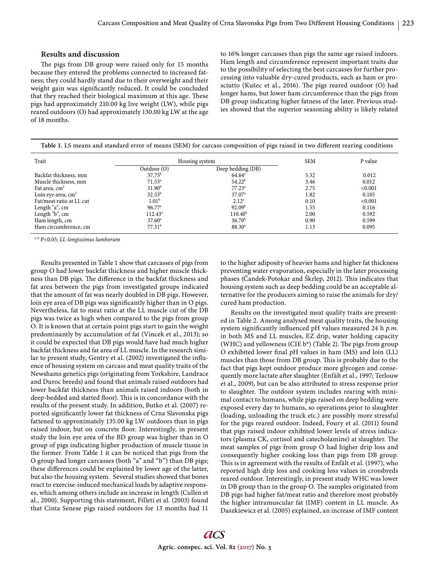## **Results and discussion**

The pigs from DB group were raised only for 15 months because they entered the problems connected to increased fatness; they could hardly stand due to their overweight and their weight gain was significantly reduced. It could be concluded that they reached their biological maximum at this age. These pigs had approximately 210.00 kg live weight (LW), while pigs reared outdoors (O) had approximately 130.00 kg LW at the age of 18 months.

to 16% longer carcasses than pigs the same age raised indoors. Ham length and circumference represent important traits due to the possibility of selecting the best carcasses for further processing into valuable dry-cured products, such as ham or prosciutto (Kušec et al., 2016). The pigs reared outdoor (O) had longer hams, but lower ham circumference than the pigs from DB group indicating higher fatness of the later. Previous studies showed that the superior seasoning ability is likely related

| Table 1. LS means and standard error of means (SEM) for carcass composition of pigs raised in two different rearing conditions |  |  |  |  |  |
|--------------------------------------------------------------------------------------------------------------------------------|--|--|--|--|--|
|                                                                                                                                |  |  |  |  |  |

| Trait                     |                    | Housing system      | <b>SEM</b> | P value |
|---------------------------|--------------------|---------------------|------------|---------|
|                           | Outdoor $(0)$      | Deep bedding (DB)   |            |         |
| Backfat thickness, mm     | $37.75^{\rm b}$    | $64.64^{\circ}$     | 5.32       | 0.012   |
| Muscle thickness, mm      | $71.53^a$          | 54.22 <sup>b</sup>  | 3.46       | 0.012   |
| Fat area, cm <sup>2</sup> | 31.90 <sup>b</sup> | $77.23^a$           | 2.75       | < 0.001 |
| Loin eye area, $cm2$      | $32.53^{b}$        | 37.07 <sup>a</sup>  | 1.82       | 0.105   |
| Fat/meat ratio at LL cut  | 1.01 <sup>b</sup>  | 2.12 <sup>a</sup>   | 0.10       | < 0.001 |
| Length "a", cm            | $96.77^{\circ}$    | 92.09 <sup>b</sup>  | 1.55       | 0.116   |
| Length "b", cm            | $112.43^a$         | 110.40 <sup>b</sup> | 2.00       | 0.592   |
| Ham length, cm            | $37.60^{\circ}$    | 36.70 <sup>b</sup>  | 0.90       | 0.599   |
| Ham circumference, cm     | 77.31 <sup>b</sup> | $88.30^{a}$         | 1.13       | 0.095   |

a, b P<0.05; *LL*-*longissimus lumborum*

Results presented in Table 1 show that carcasses of pigs from group O had lower backfat thickness and higher muscle thickness than DB pigs. The difference in the backfat thickness and fat area between the pigs from investigated groups indicated that the amount of fat was nearly doubled in DB pigs. However, loin eye area of DB pigs was significantly higher than in O pigs. Nevertheless, fat to meat ratio at the LL muscle cut of the DB pigs was twice as high when compared to the pigs from group O. It is known that at certain point pigs start to gain the weight predominantly by accumulation of fat (Vincek et al., 2013); so it could be expected that DB pigs would have had much higher backfat thickness and fat area of LL muscle. In the research similar to present study, Gentry et al. (2002) investigated the influence of housing system on carcass and meat quality traits of the Newshams genetics pigs (originating from Yorkshire, Landrace and Duroc breeds) and found that animals raised outdoors had lower backfat thickness than animals raised indoors (both in deep-bedded and slatted floor). This is in concordance with the results of the present study. In addition, Butko et al. (2007) reported significantly lower fat thickness of Crna Slavonska pigs fattened to approximately 135.00 kg LW outdoors than in pigs raised indoor, but on concrete floor. Interestingly, in present study the loin eye area of the BD group was higher than in O group of pigs indicating higher production of muscle tissue in the former. From Table 1 it can be noticed that pigs from the O group had longer carcasses (both "a" and "b") than DB pigs; these differences could be explained by lower age of the latter, but also the housing system. Several studies showed that bones react to exercise-induced mechanical loads by adaptive responses, which among others include an increase in length (Cullen et al., 2000). Supporting this statement, Filleti et al. (2003) found that Cinta Senese pigs raised outdoors for 13 months had 11

to the higher adiposity of heavier hams and higher fat thickness preventing water evaporation, especially in the later processing phases (Candek-Potokar and Škrlep, 2012). This indicates that housing system such as deep bedding could be an acceptable alternative for the producers aiming to raise the animals for dry/ cured ham production.

Results on the investigated meat quality traits are presented in Table 2. Among analysed meat quality traits, the housing system significantly influenced pH values measured 24 h p.m. in both MS and LL muscles, EZ drip, water holding capacity (WHC) and yellowness (CIE  $b^*$ ) (Table 2). The pigs from group O exhibited lower final pH values in ham (MS) and loin (LL) muscles than those from DB group. This is probably due to the fact that pigs kept outdoor produce more glycogen and consequently more lactate after slaughter (Enfält et al., 1997; Terlouw et al., 2009), but can be also attributed to stress response prior to slaughter. The outdoor system includes rearing with minimal contact to humans, while pigs raised on deep bedding were exposed every day to humans, so operations prior to slaughter (loading, unloading the truck etc.) are possibly more stressful for the pigs reared outdoor. Indeed, Foury et al. (2011) found that pigs raised indoor exhibited lower levels of stress indicators (plasma CK, cortisol and catecholamine) at slaughter. The meat samples of pigs from group O had higher drip loss and consequently higher cooking loss than pigs from DB group. This is in agreement with the results of Enfält et al. (1997), who reported high drip loss and cooking loss values in crossbreds reared outdoor. Interestingly, in present study WHC was lower in DB group than in the group O. The samples originated from DB pigs had higher fat/meat ratio and therefore most probably the higher intramuscular fat (IMF) content in LL muscle. As Daszkiewicz et al. (2005) explained, an increase of IMF content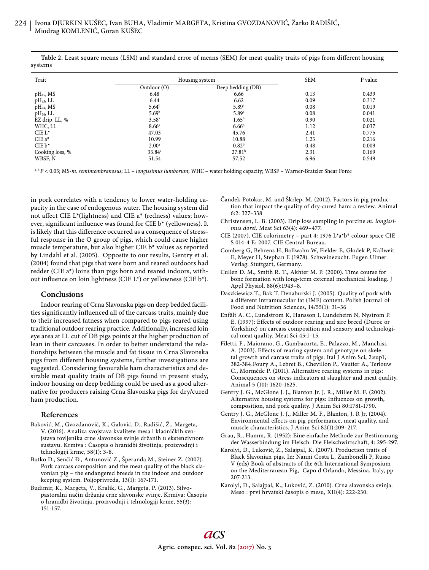| Trait                 | Housing system     | <b>SEM</b>         | P value |       |  |
|-----------------------|--------------------|--------------------|---------|-------|--|
|                       | Outdoor $(0)$      | Deep bedding (DB)  |         |       |  |
| $pH_{45}$ , MS        | 6.48               | 6.66               | 0.13    | 0.439 |  |
| $pH_{45}$ , LL        | 6.44               | 6.62               | 0.09    | 0.317 |  |
| pH <sub>24</sub> , MS | $5.64^b$           | 5.89a              | 0.08    | 0.019 |  |
| $pH_{24}$ , LL        | 5.69 <sup>b</sup>  | $5.89^{a}$         | 0.08    | 0.041 |  |
| EZ drip, LL, %        | $3.58^{a}$         | $1.65^{\rm b}$     | 0.90    | 0.021 |  |
| WHC, LL               | 8.66 <sup>a</sup>  | 6.66 <sup>b</sup>  | 1.12    | 0.037 |  |
| CIE L*                | 47.03              | 45.76              | 2.41    | 0.775 |  |
| CIE $a^*$             | 10.99              | 10.88              | 1.23    | 0.216 |  |
| $CIE b*$              | 2.00 <sup>a</sup>  | $0.82^{b}$         | 0.48    | 0.009 |  |
| Cooking loss, %       | 33.84 <sup>a</sup> | 27.81 <sup>b</sup> | 2.31    | 0.169 |  |
| WBSF, N               | 51.54              | 57.52              | 6.96    | 0.549 |  |

Table 2. Least square means (LSM) and standard error of means (SEM) for meat quality traits of pigs from different housing systems

a, b *P* < 0.05; MS-*m. semimembranosus*; LL – *longissimus lumborum*; WHC – water holding capacity; WBSF – Warner-Bratzler Shear Force

in pork correlates with a tendency to lower water-holding capacity in the case of endogenous water. The housing system did not affect CIE L\*(lightness) and CIE  $a^*$  (redness) values; however, significant influence was found for CIE  $b^*$  (yellowness). It is likely that this difference occurred as a consequence of stressful response in the O group of pigs, which could cause higher muscle temperature, but also higher CIE b\* values as reported by Lindahl et al. (2005). Opposite to our results, Gentry et al. (2004) found that pigs that were born and reared outdoors had redder (CIE a\*) loins than pigs born and reared indoors, without influence on loin lightness (CIE L\*) or yellowness (CIE  $b^*$ ).

# **Conclusions**

Indoor rearing of Crna Slavonska pigs on deep bedded facilities significantly influenced all of the carcass traits, mainly due to their increased fatness when compared to pigs reared using traditional outdoor rearing practice. Additionally, increased loin eye area at LL cut of DB pigs points at the higher production of lean in their carcasses. In order to better understand the relationships between the muscle and fat tissue in Crna Slavonska pigs from different housing systems, further investigations are suggested. Considering favourable ham characteristics and desirable meat quality traits of DB pigs found in present study, indoor housing on deep bedding could be used as a good alternative for producers raising Crna Slavonska pigs for dry/cured ham production.

### **References**

- Baković, M., Gvozdanović, K., Galović, D., Radišić, Ž., Margeta, V. (2016). Analiza svojstava kvalitete mesa i klaoničkih svojstava tovljenika crne slavonske svinje držanih u ekstenzivnom sustavu. Krmiva : Časopis o hranidbi životinja, proizvodnji i tehnologiji krme, 58(1): 3-8.
- Butko D., Senčić Đ., Antunović Z., Šperanda M., Steiner Z. (2007). Pork carcass composition and the meat quality of the black slavonian pig – the endangered breeds in the indoor and outdoor keeping system. Poljoprivreda, 13(1): 167-171.
- Budimir, K., Margeta, V., Kralik, G., Margeta, P. (2013). Silvopastoralni način držanja crne slavonske svinje. Krmiva: Časopis o hranidbi životinja, proizvodnji i tehnologiji krme, 55(3): 151-157.
- Čandek-Potokar, M. and Škrlep, M. (2012). Factors in pig production that impact the quality of dry-cured ham: a review. Animal 6:2: 327–338
- Christensen, L. B. (2003). Drip loss sampling in porcine *m. longissimus dorsi*. Meat Sci 63(4): 469–477.
- CIE (2007). CIE colorimetry part 4: 1976 L\*a\*b\* colour space CIE S 014-4 E: 2007. CIE Central Bureau.
- Comberg G, Behrens H, Bollwahn W, Fielder E, Glodek P, Kallweit E, Meyer H, Stephan E (1978). Schweinezucht. Eugen Ulmer Verlag: Stuttgart, Germany.
- Cullen D. M., Smith R. T., Akhter M. P. (2000). Time course for bone formation with long-term external mechanical loading. J Appl Physiol. 88(6):1943–8.
- Daszkiewicz T., Bak T. Denaburski J. (2005). Quality of pork with a different intramuscular fat (IMF) content. Polish Journal of Food and Nutrition Sciences, 14/55(1): 31–36
- Enfält A. C., Lundstrom K, Hansson I, Lundeheim N, Nystrom P. E. (1997): Effects of outdoor rearing and sire breed (Duroc or Yorkshire) on carcass composition and sensory and technological meat quality. Meat Sci 45:1–15.
- Filetti, F., Maiorano, G., Gambacorta, E., Palazzo, M., Manchisi, A. (2003). Effects of rearing system and genotype on skeletal growth and carcass traits of pigs. Ital J Anim Sci, 2:sup1, 382-384.Foury A., Lebret B., Chevillon P., Vautier A., Terlouw C., Mormède P. (2011). Alternative rearing systems in pigs: Consequences on stress indicators at slaughter and meat quality. Animal 5 (10): 1620-1625.
- Gentry J. G., McGlone J. J., Blanton Jr. J. R., Miller M. F. (2002). Alternative housing systems for pigs: Influences on growth, composition, and pork quality. J Anim Sci 80:1781-1790.
- Gentry J. G., McGlone J. J., Miller M. F., Blanton, J. R Jr, (2004). Environmental effects on pig performance, meat quality, and muscle characteristics. J Anim Sci 82(1):209–217.
- Grau, R., Hamm, R. (1952): Eine einfache Methode zur Bestimmung der Wasserbindung im Fleisch. Die Fleischwirtschaft, 4: 295-297.
- Karolyi, D., Luković, Z., Salajpal, K. (2007). Production traits of Black Slavonian pigs. In: Nanni Costa L, Zambonelli P, Russo V (eds) Book of abstracts of the 6th International Symposium on the Mediterranean Pig, Capo d Orlando, Messina, Italy, pp 207-213.
- Karolyi, D., Salajpal, K., Luković, Z. (2010). Crna slavonska svinja. Meso : prvi hrvatski časopis o mesu, XII(4): 222-230.